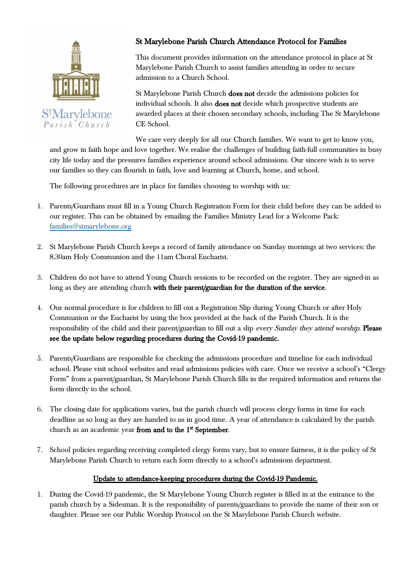

S<sup>t</sup>Marylebone Parish Church

## St Marylebone Parish Church Attendance Protocol for Families

This document provides information on the attendance protocol in place at St Marylebone Parish Church to assist families attending in order to secure admission to a Church School.

St Marylebone Parish Church does not decide the admissions policies for individual schools. It also does not decide which prospective students are awarded places at their chosen secondary schools, including The St Marylebone CE School.

We care very deeply for all our Church families. We want to get to know you, and grow in faith hope and love together. We realise the challenges of building faith-full communities in busy city life today and the pressures families experience around school admissions. Our sincere wish is to serve our families so they can flourish in faith, love and learning at Church, home, and school.

The following procedures are in place for families choosing to worship with us:

- 1. Parents/Guardians must fill in a Young Church Registration Form for their child before they can be added to our register. This can be obtained by emailing the Families Ministry Lead for a Welcome Pack: [families@stmarylebone.org](mailto:families@stmarylebone.org)
- 2. St Marylebone Parish Church keeps a record of family attendance on Sunday mornings at two services: the 8.30am Holy Communion and the 11am Choral Eucharist.
- 3. Children do not have to attend Young Church sessions to be recorded on the register. They are signed-in as long as they are attending church with their parent/guardian for the duration of the service.
- 4. Our normal procedure is for children to fill out a Registration Slip during Young Church or after Holy Communion or the Eucharist by using the box provided at the back of the Parish Church. It is the responsibility of the child and their parent/guardian to fill out a slip every Sunday they attend worship. Please see the update below regarding procedures during the Covid-19 pandemic.
- 5. Parents/Guardians are responsible for checking the admissions procedure and timeline for each individual school. Please visit school websites and read admissions policies with care. Once we receive a school's "Clergy Form" from a parent/guardian, St Marylebone Parish Church fills in the required information and returns the form directly to the school.
- 6. The closing date for applications varies, but the parish church will process clergy forms in time for each deadline as so long as they are handed to us in good time. A year of attendance is calculated by the parish church as an academic year from and to the 1<sup>st</sup> September.
- 7. School policies regarding receiving completed clergy forms vary, but to ensure fairness, it is the policy of St Marylebone Parish Church to return each form directly to a school's admissions department.

## Update to attendance-keeping procedures during the Covid-19 Pandemic.

1. During the Covid-19 pandemic, the St Marylebone Young Church register is filled in at the entrance to the parish church by a Sidesman. It is the responsibility of parents/guardians to provide the name of their son or daughter. Please see our Public Worship Protocol on the St Marylebone Parish Church website.